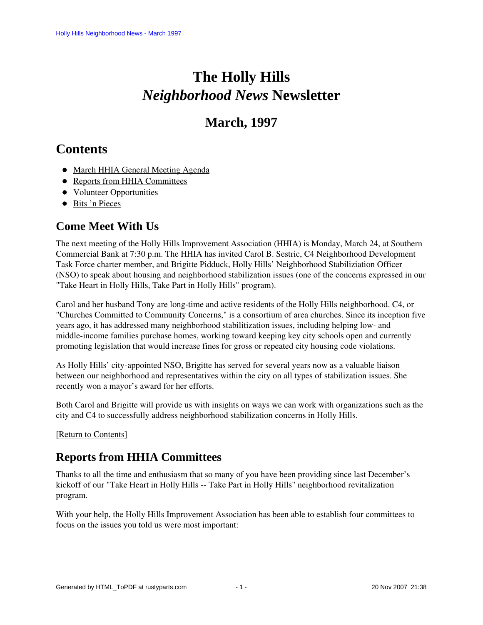# **The Holly Hills**  *Neighborhood News* **Newsletter**

## **March, 1997**

## <span id="page-0-2"></span>**Contents**

- [March HHIA General Meeting Agenda](#page-0-0)
- [Reports from HHIA Committees](#page-0-1)
- [Volunteer Opportunities](#page-2-0)
- [Bits 'n Pieces](#page-3-0)

## <span id="page-0-0"></span>**Come Meet With Us**

The next meeting of the Holly Hills Improvement Association (HHIA) is Monday, March 24, at Southern Commercial Bank at 7:30 p.m. The HHIA has invited Carol B. Sestric, C4 Neighborhood Development Task Force charter member, and Brigitte Pidduck, Holly Hills' Neighborhood Stabiliziation Officer (NSO) to speak about housing and neighborhood stabilization issues (one of the concerns expressed in our "Take Heart in Holly Hills, Take Part in Holly Hills" program).

Carol and her husband Tony are long-time and active residents of the Holly Hills neighborhood. C4, or "Churches Committed to Community Concerns," is a consortium of area churches. Since its inception five years ago, it has addressed many neighborhood stabilitization issues, including helping low- and middle-income families purchase homes, working toward keeping key city schools open and currently promoting legislation that would increase fines for gross or repeated city housing code violations.

As Holly Hills' city-appointed NSO, Brigitte has served for several years now as a valuable liaison between our neighborhood and representatives within the city on all types of stabilization issues. She recently won a mayor's award for her efforts.

Both Carol and Brigitte will provide us with insights on ways we can work with organizations such as the city and C4 to successfully address neighborhood stabilization concerns in Holly Hills.

<span id="page-0-1"></span>[\[Return to Contents\]](#page-0-2)

## **Reports from HHIA Committees**

Thanks to all the time and enthusiasm that so many of you have been providing since last December's kickoff of our "Take Heart in Holly Hills -- Take Part in Holly Hills" neighborhood revitalization program.

<span id="page-0-3"></span>With your help, the Holly Hills Improvement Association has been able to establish four committees to focus on the issues you told us were most important: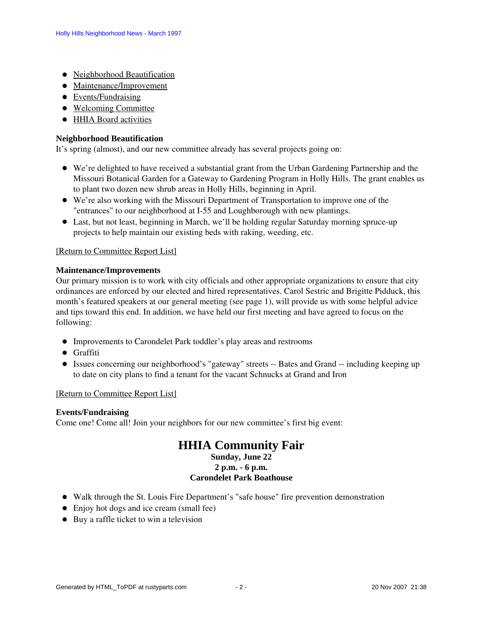- [Neighborhood Beautification](#page-1-0)
- [Maintenance/Improvement](#page-1-1)
- [Events/Fundraising](#page-1-2)
- [Welcoming Committee](#page-2-1)
- [HHIA Board activities](#page-2-2)

#### <span id="page-1-0"></span>**Neighborhood Beautification**

It's spring (almost), and our new committee already has several projects going on:

- We're delighted to have received a substantial grant from the Urban Gardening Partnership and the Missouri Botanical Garden for a Gateway to Gardening Program in Holly Hills. The grant enables us to plant two dozen new shrub areas in Holly Hills, beginning in April.
- We're also working with the Missouri Department of Transportation to improve one of the "entrances" to our neighborhood at I-55 and Loughborough with new plantings.
- Last, but not least, beginning in March, we'll be holding regular Saturday morning spruce-up projects to help maintain our existing beds with raking, weeding, etc.

#### [\[Return to Committee Report List\]](#page-0-3)

#### <span id="page-1-1"></span>**Maintenance/Improvements**

Our primary mission is to work with city officials and other appropriate organizations to ensure that city ordinances are enforced by our elected and hired representatives. Carol Sestric and Brigitte Pidduck, this month's featured speakers at our general meeting (see page 1), will provide us with some helpful advice and tips toward this end. In addition, we have held our first meeting and have agreed to focus on the following:

- Improvements to Carondelet Park toddler's play areas and restrooms
- **•** Graffiti
- Issues concerning our neighborhood's "gateway" streets -- Bates and Grand -- including keeping up to date on city plans to find a tenant for the vacant Schnucks at Grand and Iron

#### [\[Return to Committee Report List\]](#page-0-3)

#### <span id="page-1-2"></span>**Events/Fundraising**

Come one! Come all! Join your neighbors for our new committee's first big event:

## **HHIA Community Fair**

### **Sunday, June 22**

#### **2 p.m. - 6 p.m.**

#### **Carondelet Park Boathouse**

- Walk through the St. Louis Fire Department's "safe house" fire prevention demonstration
- Enjoy hot dogs and ice cream (small fee)
- Buy a raffle ticket to win a television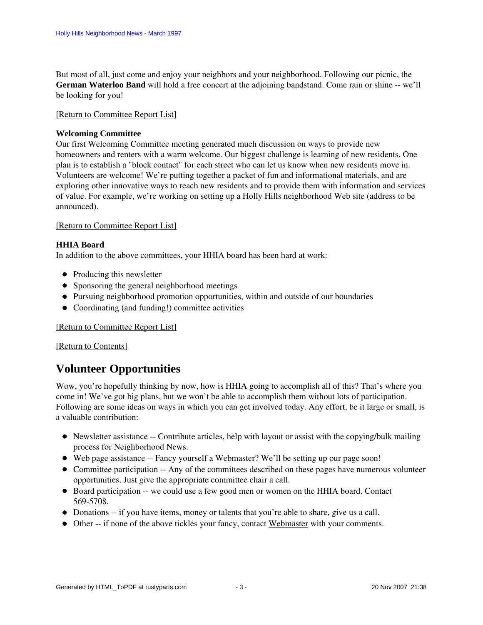But most of all, just come and enjoy your neighbors and your neighborhood. Following our picnic, the **German Waterloo Band** will hold a free concert at the adjoining bandstand. Come rain or shine -- we'll be looking for you!

#### [\[Return to Committee Report List\]](#page-0-3)

#### <span id="page-2-1"></span>**Welcoming Committee**

Our first Welcoming Committee meeting generated much discussion on ways to provide new homeowners and renters with a warm welcome. Our biggest challenge is learning of new residents. One plan is to establish a "block contact" for each street who can let us know when new residents move in. Volunteers are welcome! We're putting together a packet of fun and informational materials, and are exploring other innovative ways to reach new residents and to provide them with information and services of value. For example, we're working on setting up a Holly Hills neighborhood Web site (address to be announced).

#### [\[Return to Committee Report List\]](#page-0-3)

#### <span id="page-2-2"></span>**HHIA Board**

In addition to the above committees, your HHIA board has been hard at work:

- Producing this newsletter
- Sponsoring the general neighborhood meetings
- Pursuing neighborhood promotion opportunities, within and outside of our boundaries
- Coordinating (and funding!) committee activities

[\[Return to Committee Report List\]](#page-0-3)

#### [\[Return to Contents\]](#page-0-2)

### <span id="page-2-0"></span>**Volunteer Opportunities**

Wow, you're hopefully thinking by now, how is HHIA going to accomplish all of this? That's where you come in! We've got big plans, but we won't be able to accomplish them without lots of participation. Following are some ideas on ways in which you can get involved today. Any effort, be it large or small, is a valuable contribution:

- Newsletter assistance -- Contribute articles, help with layout or assist with the copying/bulk mailing process for Neighborhood News.
- Web page assistance -- Fancy yourself a Webmaster? We'll be setting up our page soon!
- Committee participation -- Any of the committees described on these pages have numerous volunteer opportunities. Just give the appropriate committee chair a call.
- Board participation -- we could use a few good men or women on the HHIA board. Contact 569-5708.
- Donations -- if you have items, money or talents that you're able to share, give us a call.
- Other -- if none of the above tickles your fancy, contact Webmaster with your comments.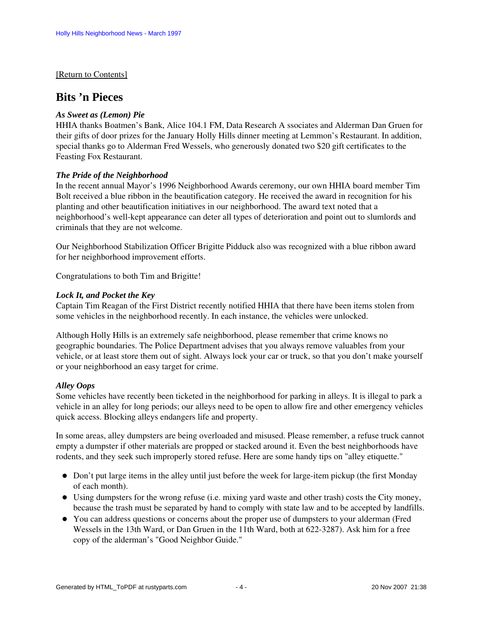#### [\[Return to Contents\]](#page-0-2)

### <span id="page-3-0"></span>**Bits 'n Pieces**

#### *As Sweet as (Lemon) Pie*

HHIA thanks Boatmen's Bank, Alice 104.1 FM, Data Research A ssociates and Alderman Dan Gruen for their gifts of door prizes for the January Holly Hills dinner meeting at Lemmon's Restaurant. In addition, special thanks go to Alderman Fred Wessels, who generously donated two \$20 gift certificates to the Feasting Fox Restaurant.

#### *The Pride of the Neighborhood*

In the recent annual Mayor's 1996 Neighborhood Awards ceremony, our own HHIA board member Tim Bolt received a blue ribbon in the beautification category. He received the award in recognition for his planting and other beautification initiatives in our neighborhood. The award text noted that a neighborhood's well-kept appearance can deter all types of deterioration and point out to slumlords and criminals that they are not welcome.

Our Neighborhood Stabilization Officer Brigitte Pidduck also was recognized with a blue ribbon award for her neighborhood improvement efforts.

Congratulations to both Tim and Brigitte!

#### *Lock It, and Pocket the Key*

Captain Tim Reagan of the First District recently notified HHIA that there have been items stolen from some vehicles in the neighborhood recently. In each instance, the vehicles were unlocked.

Although Holly Hills is an extremely safe neighborhood, please remember that crime knows no geographic boundaries. The Police Department advises that you always remove valuables from your vehicle, or at least store them out of sight. Always lock your car or truck, so that you don't make yourself or your neighborhood an easy target for crime.

#### *Alley Oops*

Some vehicles have recently been ticketed in the neighborhood for parking in alleys. It is illegal to park a vehicle in an alley for long periods; our alleys need to be open to allow fire and other emergency vehicles quick access. Blocking alleys endangers life and property.

In some areas, alley dumpsters are being overloaded and misused. Please remember, a refuse truck cannot empty a dumpster if other materials are propped or stacked around it. Even the best neighborhoods have rodents, and they seek such improperly stored refuse. Here are some handy tips on "alley etiquette."

- Don't put large items in the alley until just before the week for large-item pickup (the first Monday of each month).
- Using dumpsters for the wrong refuse (i.e. mixing yard waste and other trash) costs the City money, because the trash must be separated by hand to comply with state law and to be accepted by landfills.
- You can address questions or concerns about the proper use of dumpsters to your alderman (Fred Wessels in the 13th Ward, or Dan Gruen in the 11th Ward, both at 622-3287). Ask him for a free copy of the alderman's "Good Neighbor Guide."